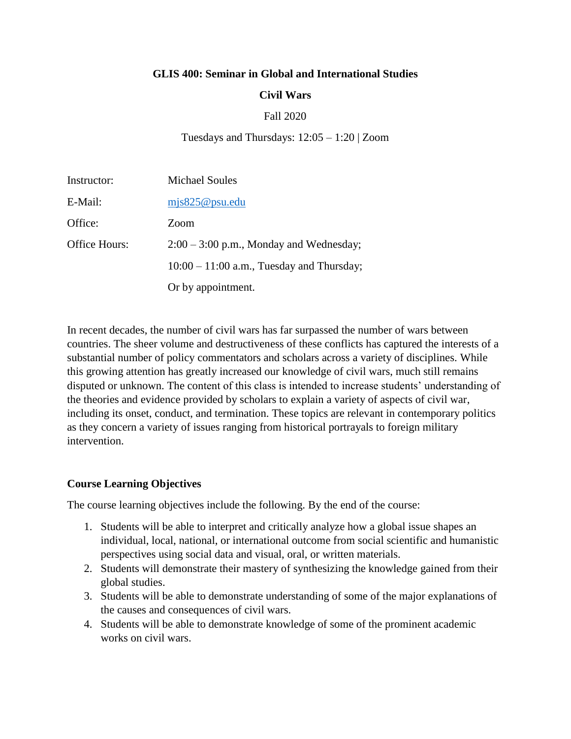#### **GLIS 400: Seminar in Global and International Studies**

## **Civil Wars**

## Fall 2020

Tuesdays and Thursdays: 12:05 – 1:20 | Zoom

| Instructor:   | <b>Michael Soules</b>                       |
|---------------|---------------------------------------------|
| E-Mail:       | mjs825@psu.edu                              |
| Office:       | Zoom                                        |
| Office Hours: | $2:00 - 3:00$ p.m., Monday and Wednesday;   |
|               | $10:00 - 11:00$ a.m., Tuesday and Thursday; |
|               | Or by appointment.                          |

In recent decades, the number of civil wars has far surpassed the number of wars between countries. The sheer volume and destructiveness of these conflicts has captured the interests of a substantial number of policy commentators and scholars across a variety of disciplines. While this growing attention has greatly increased our knowledge of civil wars, much still remains disputed or unknown. The content of this class is intended to increase students' understanding of the theories and evidence provided by scholars to explain a variety of aspects of civil war, including its onset, conduct, and termination. These topics are relevant in contemporary politics as they concern a variety of issues ranging from historical portrayals to foreign military intervention.

## **Course Learning Objectives**

The course learning objectives include the following. By the end of the course:

- 1. Students will be able to interpret and critically analyze how a global issue shapes an individual, local, national, or international outcome from social scientific and humanistic perspectives using social data and visual, oral, or written materials.
- 2. Students will demonstrate their mastery of synthesizing the knowledge gained from their global studies.
- 3. Students will be able to demonstrate understanding of some of the major explanations of the causes and consequences of civil wars.
- 4. Students will be able to demonstrate knowledge of some of the prominent academic works on civil wars.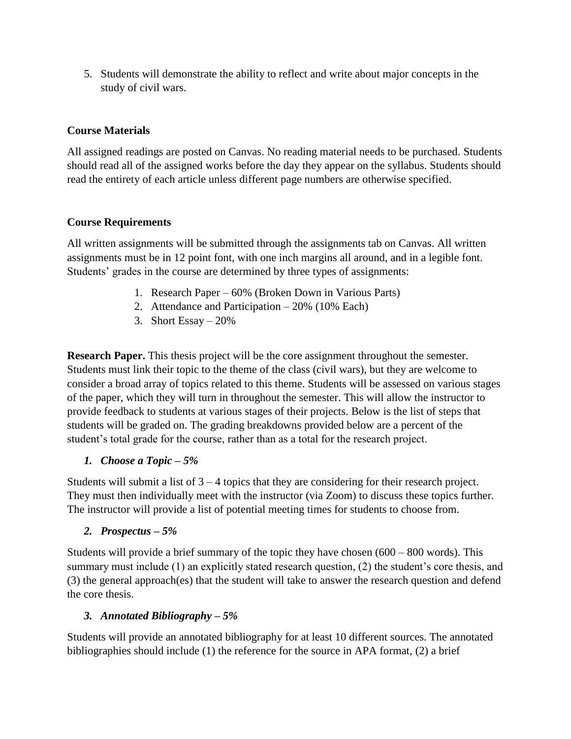5. Students will demonstrate the ability to reflect and write about major concepts in the study of civil wars.

# **Course Materials**

All assigned readings are posted on Canvas. No reading material needs to be purchased. Students should read all of the assigned works before the day they appear on the syllabus. Students should read the entirety of each article unless different page numbers are otherwise specified.

# **Course Requirements**

All written assignments will be submitted through the assignments tab on Canvas. All written assignments must be in 12 point font, with one inch margins all around, and in a legible font. Students' grades in the course are determined by three types of assignments:

- 1. Research Paper 60% (Broken Down in Various Parts)
- 2. Attendance and Participation 20% (10% Each)
- 3. Short Essay 20%

**Research Paper.** This thesis project will be the core assignment throughout the semester. Students must link their topic to the theme of the class (civil wars), but they are welcome to consider a broad array of topics related to this theme. Students will be assessed on various stages of the paper, which they will turn in throughout the semester. This will allow the instructor to provide feedback to students at various stages of their projects. Below is the list of steps that students will be graded on. The grading breakdowns provided below are a percent of the student's total grade for the course, rather than as a total for the research project.

# *1. Choose a Topic – 5%*

Students will submit a list of 3 – 4 topics that they are considering for their research project. They must then individually meet with the instructor (via Zoom) to discuss these topics further. The instructor will provide a list of potential meeting times for students to choose from.

# *2. Prospectus – 5%*

Students will provide a brief summary of the topic they have chosen (600 – 800 words). This summary must include (1) an explicitly stated research question, (2) the student's core thesis, and (3) the general approach(es) that the student will take to answer the research question and defend the core thesis.

# *3. Annotated Bibliography – 5%*

Students will provide an annotated bibliography for at least 10 different sources. The annotated bibliographies should include (1) the reference for the source in APA format, (2) a brief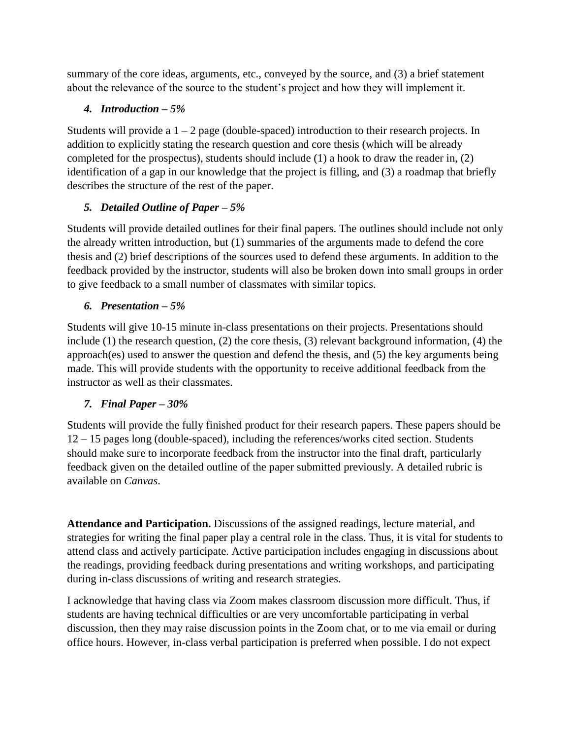summary of the core ideas, arguments, etc., conveyed by the source, and (3) a brief statement about the relevance of the source to the student's project and how they will implement it.

# *4. Introduction – 5%*

Students will provide a  $1 - 2$  page (double-spaced) introduction to their research projects. In addition to explicitly stating the research question and core thesis (which will be already completed for the prospectus), students should include (1) a hook to draw the reader in, (2) identification of a gap in our knowledge that the project is filling, and (3) a roadmap that briefly describes the structure of the rest of the paper.

# *5. Detailed Outline of Paper – 5%*

Students will provide detailed outlines for their final papers. The outlines should include not only the already written introduction, but (1) summaries of the arguments made to defend the core thesis and (2) brief descriptions of the sources used to defend these arguments. In addition to the feedback provided by the instructor, students will also be broken down into small groups in order to give feedback to a small number of classmates with similar topics.

# *6. Presentation – 5%*

Students will give 10-15 minute in-class presentations on their projects. Presentations should include (1) the research question, (2) the core thesis, (3) relevant background information, (4) the approach(es) used to answer the question and defend the thesis, and (5) the key arguments being made. This will provide students with the opportunity to receive additional feedback from the instructor as well as their classmates.

# *7. Final Paper – 30%*

Students will provide the fully finished product for their research papers. These papers should be 12 – 15 pages long (double-spaced), including the references/works cited section. Students should make sure to incorporate feedback from the instructor into the final draft, particularly feedback given on the detailed outline of the paper submitted previously. A detailed rubric is available on *Canvas*.

**Attendance and Participation.** Discussions of the assigned readings, lecture material, and strategies for writing the final paper play a central role in the class. Thus, it is vital for students to attend class and actively participate. Active participation includes engaging in discussions about the readings, providing feedback during presentations and writing workshops, and participating during in-class discussions of writing and research strategies.

I acknowledge that having class via Zoom makes classroom discussion more difficult. Thus, if students are having technical difficulties or are very uncomfortable participating in verbal discussion, then they may raise discussion points in the Zoom chat, or to me via email or during office hours. However, in-class verbal participation is preferred when possible. I do not expect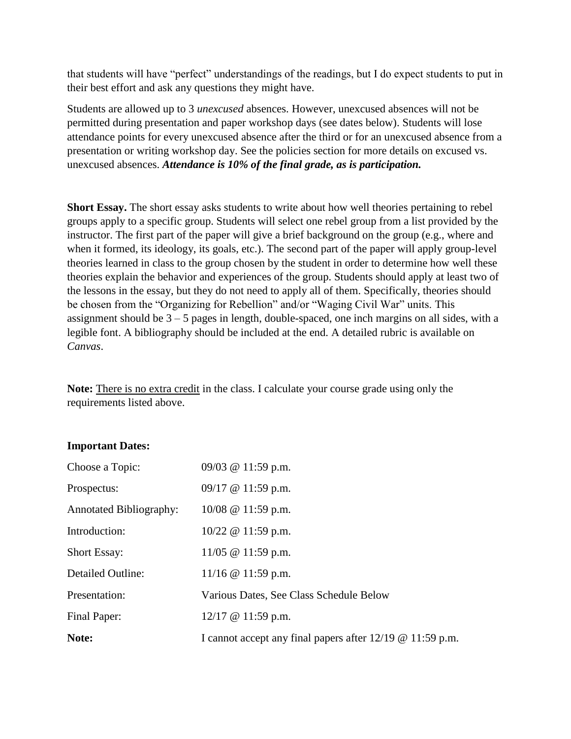that students will have "perfect" understandings of the readings, but I do expect students to put in their best effort and ask any questions they might have.

Students are allowed up to 3 *unexcused* absences. However, unexcused absences will not be permitted during presentation and paper workshop days (see dates below). Students will lose attendance points for every unexcused absence after the third or for an unexcused absence from a presentation or writing workshop day. See the policies section for more details on excused vs. unexcused absences. *Attendance is 10% of the final grade, as is participation.* 

**Short Essay.** The short essay asks students to write about how well theories pertaining to rebel groups apply to a specific group. Students will select one rebel group from a list provided by the instructor. The first part of the paper will give a brief background on the group (e.g., where and when it formed, its ideology, its goals, etc.). The second part of the paper will apply group-level theories learned in class to the group chosen by the student in order to determine how well these theories explain the behavior and experiences of the group. Students should apply at least two of the lessons in the essay, but they do not need to apply all of them. Specifically, theories should be chosen from the "Organizing for Rebellion" and/or "Waging Civil War" units. This assignment should be  $3 - 5$  pages in length, double-spaced, one inch margins on all sides, with a legible font. A bibliography should be included at the end. A detailed rubric is available on *Canvas*.

**Note:** There is no extra credit in the class. I calculate your course grade using only the requirements listed above.

# **Important Dates:**

| Note:                          | I cannot accept any final papers after $12/19$ @ $11:59$ p.m. |
|--------------------------------|---------------------------------------------------------------|
| Final Paper:                   | $12/17$ @ 11:59 p.m.                                          |
| Presentation:                  | Various Dates, See Class Schedule Below                       |
| Detailed Outline:              | 11/16 $@$ 11:59 p.m.                                          |
| <b>Short Essay:</b>            | 11/05 $@$ 11:59 p.m.                                          |
| Introduction:                  | $10/22 \& 11:59 \text{ p.m.}$                                 |
| <b>Annotated Bibliography:</b> | $10/08$ @ 11:59 p.m.                                          |
| Prospectus:                    | $09/17$ @ 11:59 p.m.                                          |
| Choose a Topic:                | 09/03 @ 11:59 p.m.                                            |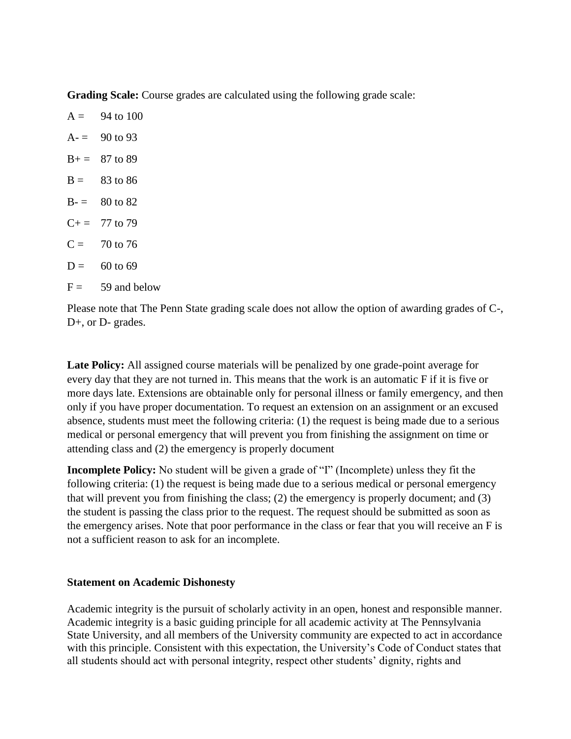**Grading Scale:** Course grades are calculated using the following grade scale:

| $A =$ | 94 to 100          |
|-------|--------------------|
|       | $A = 90$ to 93     |
|       | $B+= 87$ to 89     |
|       | $B = 83$ to 86     |
|       | $B = 80$ to 82     |
|       | $C+= 77$ to 79     |
| $C =$ | 70 to 76           |
|       | $D = 60$ to 69     |
|       | $F = 59$ and below |

Please note that The Penn State grading scale does not allow the option of awarding grades of C-, D+, or D- grades.

**Late Policy:** All assigned course materials will be penalized by one grade-point average for every day that they are not turned in. This means that the work is an automatic F if it is five or more days late. Extensions are obtainable only for personal illness or family emergency, and then only if you have proper documentation. To request an extension on an assignment or an excused absence, students must meet the following criteria: (1) the request is being made due to a serious medical or personal emergency that will prevent you from finishing the assignment on time or attending class and (2) the emergency is properly document

**Incomplete Policy:** No student will be given a grade of "I" (Incomplete) unless they fit the following criteria: (1) the request is being made due to a serious medical or personal emergency that will prevent you from finishing the class; (2) the emergency is properly document; and (3) the student is passing the class prior to the request. The request should be submitted as soon as the emergency arises. Note that poor performance in the class or fear that you will receive an F is not a sufficient reason to ask for an incomplete.

# **Statement on Academic Dishonesty**

Academic integrity is the pursuit of scholarly activity in an open, honest and responsible manner. Academic integrity is a basic guiding principle for all academic activity at The Pennsylvania State University, and all members of the University community are expected to act in accordance with this principle. Consistent with this expectation, the University's Code of Conduct states that all students should act with personal integrity, respect other students' dignity, rights and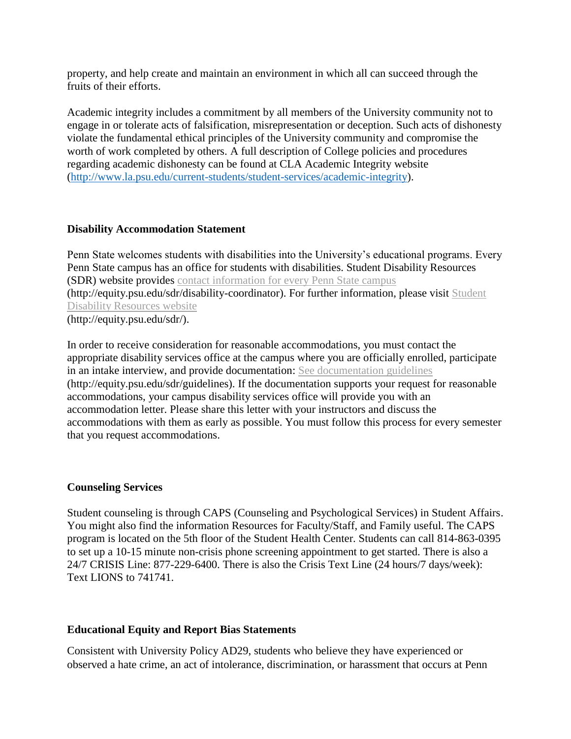property, and help create and maintain an environment in which all can succeed through the fruits of their efforts.

Academic integrity includes a commitment by all members of the University community not to engage in or tolerate acts of falsification, misrepresentation or deception. Such acts of dishonesty violate the fundamental ethical principles of the University community and compromise the worth of work completed by others. A full description of College policies and procedures regarding academic dishonesty can be found at CLA Academic Integrity website [\(http://www.la.psu.edu/current-students/student-services/academic-integrity\)](http://www.la.psu.edu/current-students/student-services/academic-integrity).

# **Disability Accommodation Statement**

Penn State welcomes students with disabilities into the University's educational programs. Every Penn State campus has an office for students with disabilities. Student Disability Resources (SDR) website provides contact [information](http://equity.psu.edu/sdr/disability-coordinator) for every Penn State campus (http://equity.psu.edu/sdr/disability-coordinator). For further information, please visit [Student](http://equity.psu.edu/sdr/) Disability [Resources](http://equity.psu.edu/sdr/) website (http://equity.psu.edu/sdr/).

In order to receive consideration for reasonable accommodations, you must contact the appropriate disability services office at the campus where you are officially enrolled, participate in an intake interview, and provide documentation: See [documentation](http://equity.psu.edu/sdr/guidelines) guidelines (http://equity.psu.edu/sdr/guidelines). If the documentation supports your request for reasonable accommodations, your campus disability services office will provide you with an accommodation letter. Please share this letter with your instructors and discuss the accommodations with them as early as possible. You must follow this process for every semester that you request accommodations.

## **Counseling Services**

Student counseling is through CAPS (Counseling and Psychological Services) in Student Affairs. You might also find the information Resources for Faculty/Staff, and Family useful. The CAPS program is located on the 5th floor of the Student Health Center. Students can call 814-863-0395 to set up a 10-15 minute non-crisis phone screening appointment to get started. There is also a 24/7 CRISIS Line: 877-229-6400. There is also the Crisis Text Line (24 hours/7 days/week): Text LIONS to 741741.

## **Educational Equity and Report Bias Statements**

Consistent with University Policy AD29, students who believe they have experienced or observed a hate crime, an act of intolerance, discrimination, or harassment that occurs at Penn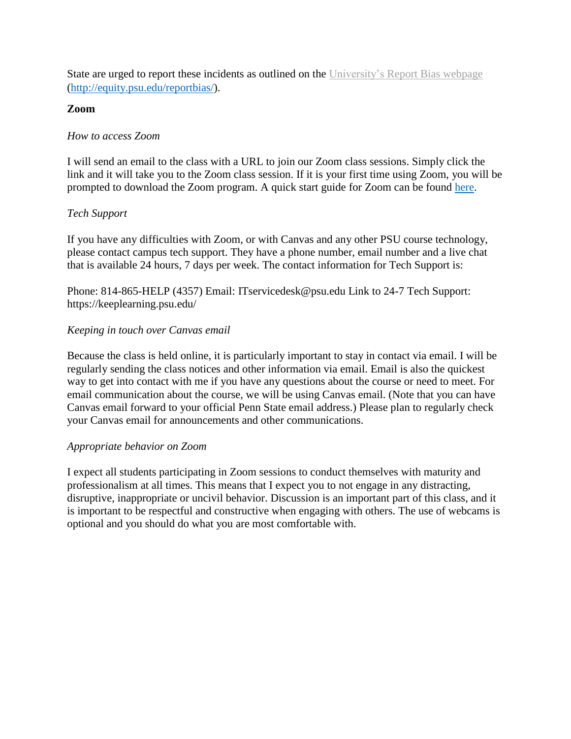State are urged to report these incidents as outlined on the [University's](http://equity.psu.edu/reportbias) Report Bias webpage [\(http://equity.psu.edu/reportbias/\)](http://equity.psu.edu/reportbias/).

# **Zoom**

# *How to access Zoom*

I will send an email to the class with a URL to join our Zoom class sessions. Simply click the link and it will take you to the Zoom class session. If it is your first time using Zoom, you will be prompted to download the Zoom program. A quick start guide for Zoom can be found [here.](https://itld.psu.edu/training/participating-zoom-meeting-quick-start-guide)

# *Tech Support*

If you have any difficulties with Zoom, or with Canvas and any other PSU course technology, please contact campus tech support. They have a phone number, email number and a live chat that is available 24 hours, 7 days per week. The contact information for Tech Support is:

Phone: 814-865-HELP (4357) Email: ITservicedesk@psu.edu Link to 24-7 Tech Support: https://keeplearning.psu.edu/

# *Keeping in touch over Canvas email*

Because the class is held online, it is particularly important to stay in contact via email. I will be regularly sending the class notices and other information via email. Email is also the quickest way to get into contact with me if you have any questions about the course or need to meet. For email communication about the course, we will be using Canvas email. (Note that you can have Canvas email forward to your official Penn State email address.) Please plan to regularly check your Canvas email for announcements and other communications.

## *Appropriate behavior on Zoom*

I expect all students participating in Zoom sessions to conduct themselves with maturity and professionalism at all times. This means that I expect you to not engage in any distracting, disruptive, inappropriate or uncivil behavior. Discussion is an important part of this class, and it is important to be respectful and constructive when engaging with others. The use of webcams is optional and you should do what you are most comfortable with.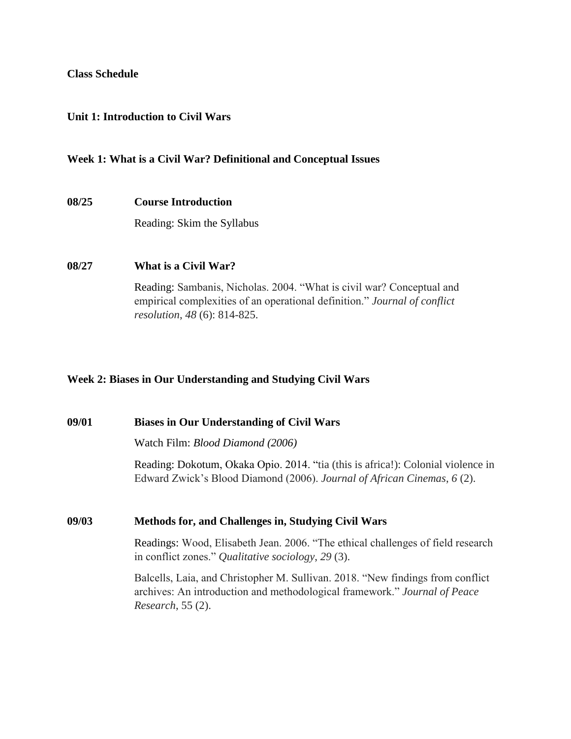#### **Class Schedule**

#### **Unit 1: Introduction to Civil Wars**

#### **Week 1: What is a Civil War? Definitional and Conceptual Issues**

#### **08/25 Course Introduction**

Reading: Skim the Syllabus

#### **08/27 What is a Civil War?**

*Research*, 55 (2).

Reading: Sambanis, Nicholas. 2004. "What is civil war? Conceptual and empirical complexities of an operational definition." *Journal of conflict resolution*, *48* (6): 814-825.

## **Week 2: Biases in Our Understanding and Studying Civil Wars**

**09/01 Biases in Our Understanding of Civil Wars** Watch Film: *Blood Diamond (2006)* Reading: Dokotum, Okaka Opio. 2014. "tia (this is africa!): Colonial violence in Edward Zwick's Blood Diamond (2006). *Journal of African Cinemas*, *6* (2). **09/03 Methods for, and Challenges in, Studying Civil Wars** Readings: Wood, Elisabeth Jean. 2006. "The ethical challenges of field research in conflict zones." *Qualitative sociology*, *29* (3). Balcells, Laia, and Christopher M. Sullivan. 2018. "New findings from conflict archives: An introduction and methodological framework." *Journal of Peace*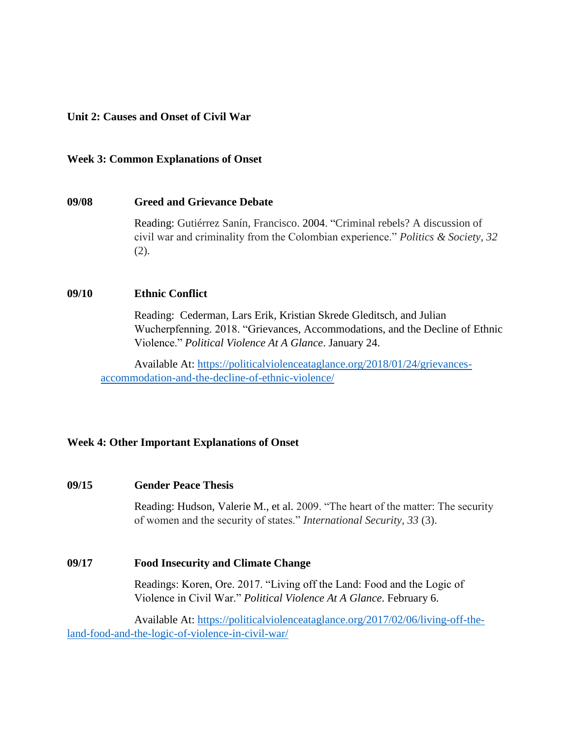## **Unit 2: Causes and Onset of Civil War**

#### **Week 3: Common Explanations of Onset**

#### **09/08 Greed and Grievance Debate**

Reading: Gutiérrez Sanín, Francisco. 2004. "Criminal rebels? A discussion of civil war and criminality from the Colombian experience." *Politics & Society*, *32*  (2).

#### **09/10 Ethnic Conflict**

Reading: Cederman, Lars Erik, Kristian Skrede Gleditsch, and Julian Wucherpfenning. 2018. "Grievances, Accommodations, and the Decline of Ethnic Violence." *Political Violence At A Glance*. January 24.

Available At: [https://politicalviolenceataglance.org/2018/01/24/grievances](https://politicalviolenceataglance.org/2018/01/24/grievances-accommodation-and-the-decline-of-ethnic-violence/)[accommodation-and-the-decline-of-ethnic-violence/](https://politicalviolenceataglance.org/2018/01/24/grievances-accommodation-and-the-decline-of-ethnic-violence/)

## **Week 4: Other Important Explanations of Onset**

#### **09/15 Gender Peace Thesis**

Reading: Hudson, Valerie M., et al. 2009. "The heart of the matter: The security of women and the security of states." *International Security*, *33* (3).

#### **09/17 Food Insecurity and Climate Change**

Readings: Koren, Ore. 2017. "Living off the Land: Food and the Logic of Violence in Civil War." *Political Violence At A Glance*. February 6.

Available At: [https://politicalviolenceataglance.org/2017/02/06/living-off-the](https://politicalviolenceataglance.org/2017/02/06/living-off-the-land-food-and-the-logic-of-violence-in-civil-war/)[land-food-and-the-logic-of-violence-in-civil-war/](https://politicalviolenceataglance.org/2017/02/06/living-off-the-land-food-and-the-logic-of-violence-in-civil-war/)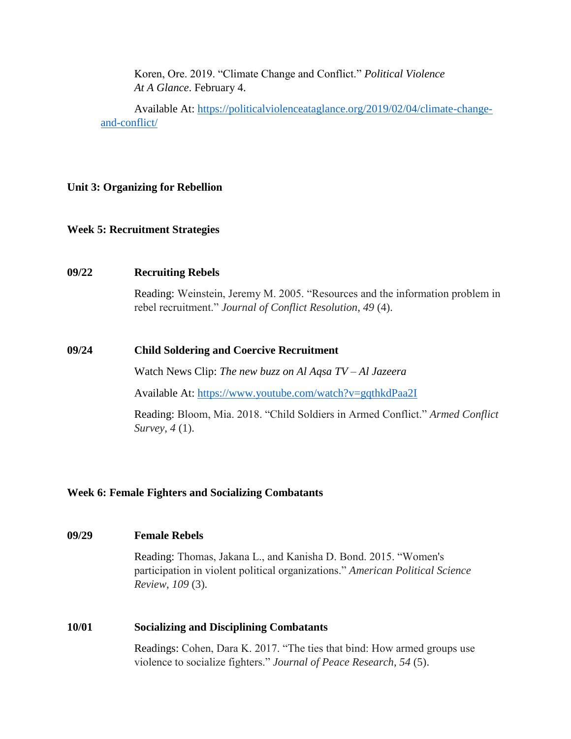Koren, Ore. 2019. "Climate Change and Conflict." *Political Violence At A Glance*. February 4.

Available At: [https://politicalviolenceataglance.org/2019/02/04/climate-change](https://politicalviolenceataglance.org/2019/02/04/climate-change-and-conflict/)[and-conflict/](https://politicalviolenceataglance.org/2019/02/04/climate-change-and-conflict/)

# **Unit 3: Organizing for Rebellion**

## **Week 5: Recruitment Strategies**

#### **09/22 Recruiting Rebels**

Reading: Weinstein, Jeremy M. 2005. "Resources and the information problem in rebel recruitment." *Journal of Conflict Resolution*, *49* (4).

#### **09/24 Child Soldering and Coercive Recruitment**

Watch News Clip: *The new buzz on Al Aqsa TV – Al Jazeera*

Available At:<https://www.youtube.com/watch?v=gqthkdPaa2I>

Reading: Bloom, Mia. 2018. "Child Soldiers in Armed Conflict." *Armed Conflict Survey*, *4* (1).

## **Week 6: Female Fighters and Socializing Combatants**

## **09/29 Female Rebels**

Reading: Thomas, Jakana L., and Kanisha D. Bond. 2015. "Women's participation in violent political organizations." *American Political Science Review*, *109* (3).

#### **10/01 Socializing and Disciplining Combatants**

Readings: Cohen, Dara K. 2017. "The ties that bind: How armed groups use violence to socialize fighters." *Journal of Peace Research*, *54* (5).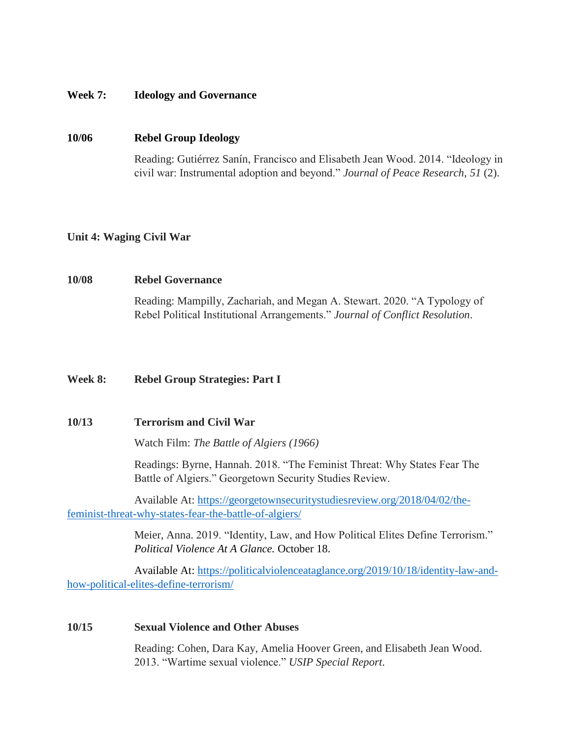#### **Week 7: Ideology and Governance**

#### **10/06 Rebel Group Ideology**

Reading: Gutiérrez Sanín, Francisco and Elisabeth Jean Wood. 2014. "Ideology in civil war: Instrumental adoption and beyond." *Journal of Peace Research*, *51* (2).

#### **Unit 4: Waging Civil War**

#### **10/08 Rebel Governance**

Reading: Mampilly, Zachariah, and Megan A. Stewart. 2020. "A Typology of Rebel Political Institutional Arrangements." *Journal of Conflict Resolution*.

## **Week 8: Rebel Group Strategies: Part I**

#### **10/13 Terrorism and Civil War**

Watch Film: *The Battle of Algiers (1966)*

Readings: Byrne, Hannah. 2018. "The Feminist Threat: Why States Fear The Battle of Algiers." Georgetown Security Studies Review.

Available At: [https://georgetownsecuritystudiesreview.org/2018/04/02/the](https://georgetownsecuritystudiesreview.org/2018/04/02/the-feminist-threat-why-states-fear-the-battle-of-algiers/)[feminist-threat-why-states-fear-the-battle-of-algiers/](https://georgetownsecuritystudiesreview.org/2018/04/02/the-feminist-threat-why-states-fear-the-battle-of-algiers/)

> Meier, Anna. 2019. "Identity, Law, and How Political Elites Define Terrorism." *Political Violence At A Glance.* October 18.

Available At: [https://politicalviolenceataglance.org/2019/10/18/identity-law-and](https://politicalviolenceataglance.org/2019/10/18/identity-law-and-how-political-elites-define-terrorism/)[how-political-elites-define-terrorism/](https://politicalviolenceataglance.org/2019/10/18/identity-law-and-how-political-elites-define-terrorism/)

#### **10/15 Sexual Violence and Other Abuses**

Reading: Cohen, Dara Kay, Amelia Hoover Green, and Elisabeth Jean Wood. 2013. "Wartime sexual violence." *USIP Special Report*.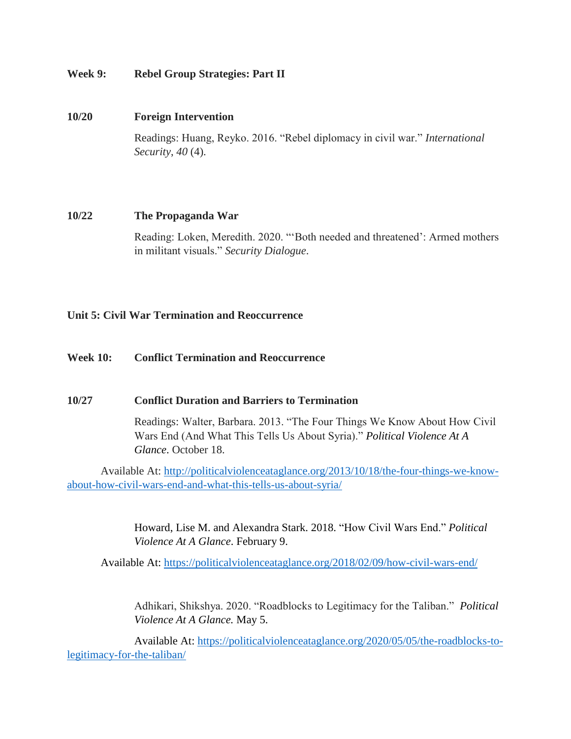# **Week 9: Rebel Group Strategies: Part II**

## **10/20 Foreign Intervention**

Readings: Huang, Reyko. 2016. "Rebel diplomacy in civil war." *International Security*, *40* (4).

## **10/22 The Propaganda War**

Reading: Loken, Meredith. 2020. "'Both needed and threatened': Armed mothers in militant visuals." *Security Dialogue*.

# **Unit 5: Civil War Termination and Reoccurrence**

## **Week 10: Conflict Termination and Reoccurrence**

## **10/27 Conflict Duration and Barriers to Termination**

Readings: Walter, Barbara. 2013. "The Four Things We Know About How Civil Wars End (And What This Tells Us About Syria)." *Political Violence At A Glance*. October 18.

Available At: [http://politicalviolenceataglance.org/2013/10/18/the-four-things-we-know](http://politicalviolenceataglance.org/2013/10/18/the-four-things-we-know-about-how-civil-wars-end-and-what-this-tells-us-about-syria/)[about-how-civil-wars-end-and-what-this-tells-us-about-syria/](http://politicalviolenceataglance.org/2013/10/18/the-four-things-we-know-about-how-civil-wars-end-and-what-this-tells-us-about-syria/)

> Howard, Lise M. and Alexandra Stark. 2018. "How Civil Wars End." *Political Violence At A Glance*. February 9.

Available At:<https://politicalviolenceataglance.org/2018/02/09/how-civil-wars-end/>

Adhikari, Shikshya. 2020. "Roadblocks to Legitimacy for the Taliban." *Political Violence At A Glance.* May 5.

Available At: [https://politicalviolenceataglance.org/2020/05/05/the-roadblocks-to](https://politicalviolenceataglance.org/2020/05/05/the-roadblocks-to-legitimacy-for-the-taliban/)[legitimacy-for-the-taliban/](https://politicalviolenceataglance.org/2020/05/05/the-roadblocks-to-legitimacy-for-the-taliban/)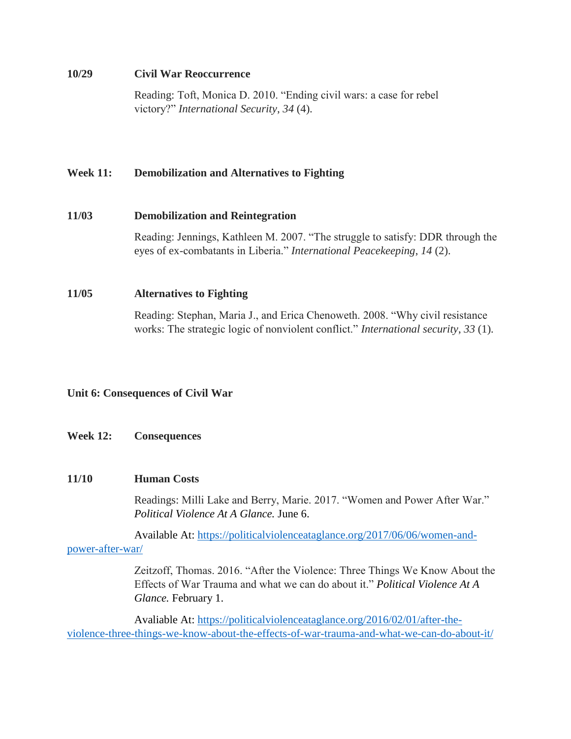#### **10/29 Civil War Reoccurrence**

Reading: Toft, Monica D. 2010. "Ending civil wars: a case for rebel victory?" *International Security*, *34* (4).

# **Week 11: Demobilization and Alternatives to Fighting**

## **11/03 Demobilization and Reintegration**

Reading: Jennings, Kathleen M. 2007. "The struggle to satisfy: DDR through the eyes of ex-combatants in Liberia." *International Peacekeeping*, *14* (2).

## **11/05 Alternatives to Fighting**

Reading: Stephan, Maria J., and Erica Chenoweth. 2008. "Why civil resistance works: The strategic logic of nonviolent conflict." *International security*, *33* (1).

# **Unit 6: Consequences of Civil War**

## **Week 12: Consequences**

## **11/10 Human Costs**

Readings: Milli Lake and Berry, Marie. 2017. "Women and Power After War." *Political Violence At A Glance.* June 6.

Available At: [https://politicalviolenceataglance.org/2017/06/06/women-and](https://politicalviolenceataglance.org/2017/06/06/women-and-power-after-war/)[power-after-war/](https://politicalviolenceataglance.org/2017/06/06/women-and-power-after-war/)

> Zeitzoff, Thomas. 2016. "After the Violence: Three Things We Know About the Effects of War Trauma and what we can do about it." *Political Violence At A Glance.* February 1.

Avaliable At: [https://politicalviolenceataglance.org/2016/02/01/after-the](https://politicalviolenceataglance.org/2016/02/01/after-the-violence-three-things-we-know-about-the-effects-of-war-trauma-and-what-we-can-do-about-it/)[violence-three-things-we-know-about-the-effects-of-war-trauma-and-what-we-can-do-about-it/](https://politicalviolenceataglance.org/2016/02/01/after-the-violence-three-things-we-know-about-the-effects-of-war-trauma-and-what-we-can-do-about-it/)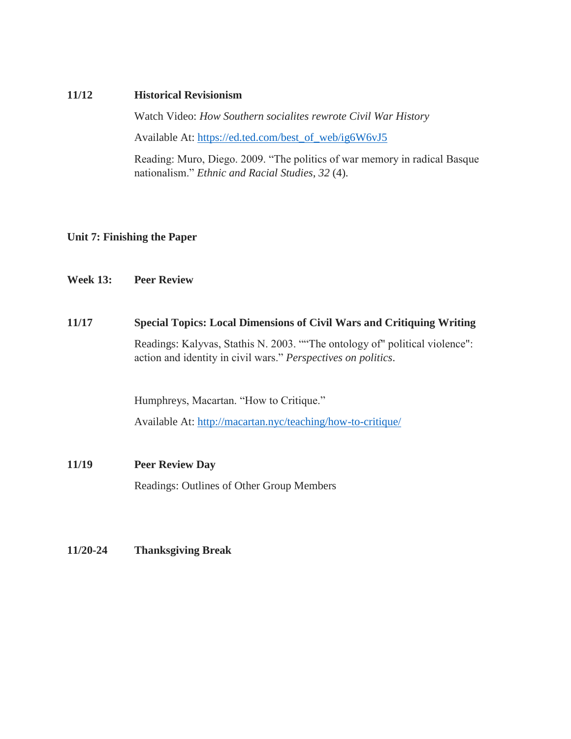#### **11/12 Historical Revisionism**

Watch Video: *How Southern socialites rewrote Civil War History*

Available At: [https://ed.ted.com/best\\_of\\_web/ig6W6vJ5](https://ed.ted.com/best_of_web/ig6W6vJ5)

Reading: Muro, Diego. 2009. "The politics of war memory in radical Basque nationalism." *Ethnic and Racial Studies*, *32* (4).

## **Unit 7: Finishing the Paper**

## **Week 13: Peer Review**

#### **11/17 Special Topics: Local Dimensions of Civil Wars and Critiquing Writing**

Readings: Kalyvas, Stathis N. 2003. ""The ontology of" political violence": action and identity in civil wars." *Perspectives on politics*.

Humphreys, Macartan. "How to Critique."

Available At:<http://macartan.nyc/teaching/how-to-critique/>

## **11/19 Peer Review Day**

Readings: Outlines of Other Group Members

**11/20-24 Thanksgiving Break**